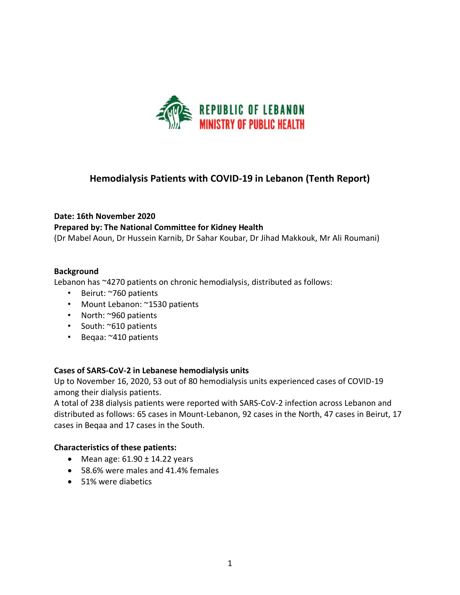

## **Hemodialysis Patients with COVID-19 in Lebanon (Tenth Report)**

# **Date: 16th November 2020 Prepared by: The National Committee for Kidney Health**

(Dr Mabel Aoun, Dr Hussein Karnib, Dr Sahar Koubar, Dr Jihad Makkouk, Mr Ali Roumani)

#### **Background**

Lebanon has ~4270 patients on chronic hemodialysis, distributed as follows:

- Beirut: ~760 patients
- Mount Lebanon: ~1530 patients
- North: ~960 patients
- South: ~610 patients
- Beqaa: ~410 patients

#### **Cases of SARS-CoV-2 in Lebanese hemodialysis units**

Up to November 16, 2020, 53 out of 80 hemodialysis units experienced cases of COVID-19 among their dialysis patients.

A total of 238 dialysis patients were reported with SARS-CoV-2 infection across Lebanon and distributed as follows: 65 cases in Mount-Lebanon, 92 cases in the North, 47 cases in Beirut, 17 cases in Beqaa and 17 cases in the South.

#### **Characteristics of these patients:**

- Mean age:  $61.90 \pm 14.22$  years
- 58.6% were males and 41.4% females
- 51% were diabetics